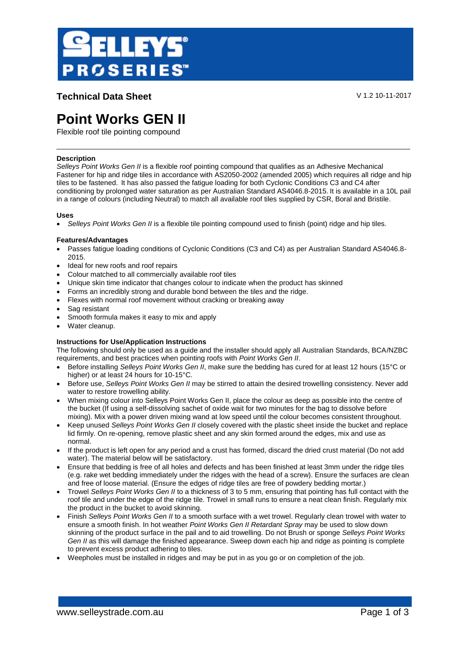

**Technical Data Sheet** V 1.2 10-11-2017

# **Point Works GEN II**

Flexible roof tile pointing compound

# **Description**

*Selleys Point Works Gen II* is a flexible roof pointing compound that qualifies as an Adhesive Mechanical Fastener for hip and ridge tiles in accordance with AS2050-2002 (amended 2005) which requires all ridge and hip tiles to be fastened. It has also passed the fatigue loading for both Cyclonic Conditions C3 and C4 after conditioning by prolonged water saturation as per Australian Standard AS4046.8-2015. It is available in a 10L pail in a range of colours (including Neutral) to match all available roof tiles supplied by CSR, Boral and Bristile.

## **Uses**

*Selleys Point Works Gen II* is a flexible tile pointing compound used to finish (point) ridge and hip tiles.

## **Features/Advantages**

- Passes fatigue loading conditions of Cyclonic Conditions (C3 and C4) as per Australian Standard AS4046.8- 2015.
- Ideal for new roofs and roof repairs
- Colour matched to all commercially available roof tiles
- Unique skin time indicator that changes colour to indicate when the product has skinned
- Forms an incredibly strong and durable bond between the tiles and the ridge.
- Flexes with normal roof movement without cracking or breaking away
- Sag resistant
- Smooth formula makes it easy to mix and apply
- Water cleanup.

# **Instructions for Use/Application Instructions**

The following should only be used as a guide and the installer should apply all Australian Standards, BCA/NZBC requirements, and best practices when pointing roofs with *Point Works Gen II*.

- Before installing *Selleys Point Works Gen II*, make sure the bedding has cured for at least 12 hours (15°C or higher) or at least 24 hours for 10-15°C.
- **Before use, Selleys Point Works Gen II may be stirred to attain the desired trowelling consistency. Never add** water to restore trowelling ability.
- When mixing colour into Selleys Point Works Gen II, place the colour as deep as possible into the centre of the bucket (If using a self-dissolving sachet of oxide wait for two minutes for the bag to dissolve before mixing). Mix with a power driven mixing wand at low speed until the colour becomes consistent throughout.
- Keep unused *Selleys Point Works Gen II* closely covered with the plastic sheet inside the bucket and replace lid firmly. On re-opening, remove plastic sheet and any skin formed around the edges, mix and use as normal.
- If the product is left open for any period and a crust has formed, discard the dried crust material (Do not add water). The material below will be satisfactory.
- Ensure that bedding is free of all holes and defects and has been finished at least 3mm under the ridge tiles (e.g. rake wet bedding immediately under the ridges with the head of a screw). Ensure the surfaces are clean and free of loose material. (Ensure the edges of ridge tiles are free of powdery bedding mortar.)
- Trowel *Selleys Point Works Gen II* to a thickness of 3 to 5 mm, ensuring that pointing has full contact with the roof tile and under the edge of the ridge tile. Trowel in small runs to ensure a neat clean finish. Regularly mix the product in the bucket to avoid skinning.
- Finish *Selleys Point Works Gen II* to a smooth surface with a wet trowel. Regularly clean trowel with water to ensure a smooth finish. In hot weather *Point Works Gen II Retardant Spray* may be used to slow down skinning of the product surface in the pail and to aid trowelling. Do not Brush or sponge *Selleys Point Works Gen II* as this will damage the finished appearance. Sweep down each hip and ridge as pointing is complete to prevent excess product adhering to tiles.
- Weepholes must be installed in ridges and may be put in as you go or on completion of the job.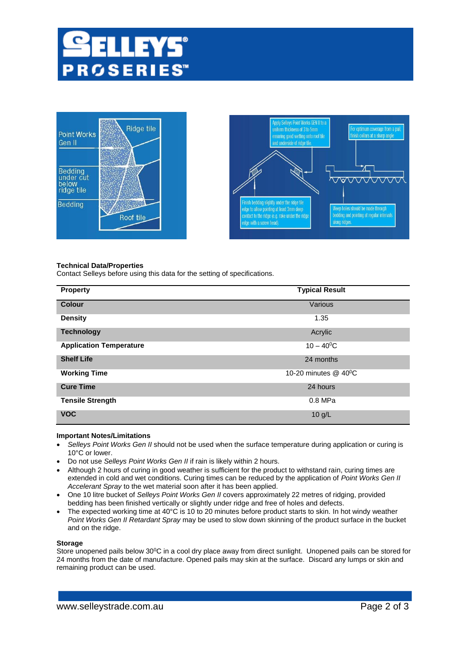





## **Technical Data/Properties**

Contact Selleys before using this data for the setting of specifications.

| <b>Property</b>                | <b>Typical Result</b> |
|--------------------------------|-----------------------|
| <b>Colour</b>                  | Various               |
| <b>Density</b>                 | 1.35                  |
| <b>Technology</b>              | Acrylic               |
| <b>Application Temperature</b> | $10 - 40^{\circ}$ C   |
| <b>Shelf Life</b>              | 24 months             |
| <b>Working Time</b>            | 10-20 minutes @ 40°C  |
| <b>Cure Time</b>               | 24 hours              |
| <b>Tensile Strength</b>        | 0.8 MPa               |
| <b>VOC</b>                     | $10$ g/L              |

## **Important Notes/Limitations**

- *Selleys Point Works Gen II* should not be used when the surface temperature during application or curing is 10°C or lower.
- Do not use *Selleys Point Works Gen II* if rain is likely within 2 hours.
- Although 2 hours of curing in good weather is sufficient for the product to withstand rain, curing times are extended in cold and wet conditions. Curing times can be reduced by the application of *Point Works Gen II Accelerant Spray* to the wet material soon after it has been applied.
- One 10 litre bucket of *Selleys Point Works Gen II* covers approximately 22 metres of ridging, provided bedding has been finished vertically or slightly under ridge and free of holes and defects.
- The expected working time at 40°C is 10 to 20 minutes before product starts to skin. In hot windy weather *Point Works Gen II Retardant Spray* may be used to slow down skinning of the product surface in the bucket and on the ridge.

#### **Storage**

Store unopened pails below 30°C in a cool dry place away from direct sunlight. Unopened pails can be stored for 24 months from the date of manufacture. Opened pails may skin at the surface. Discard any lumps or skin and remaining product can be used.